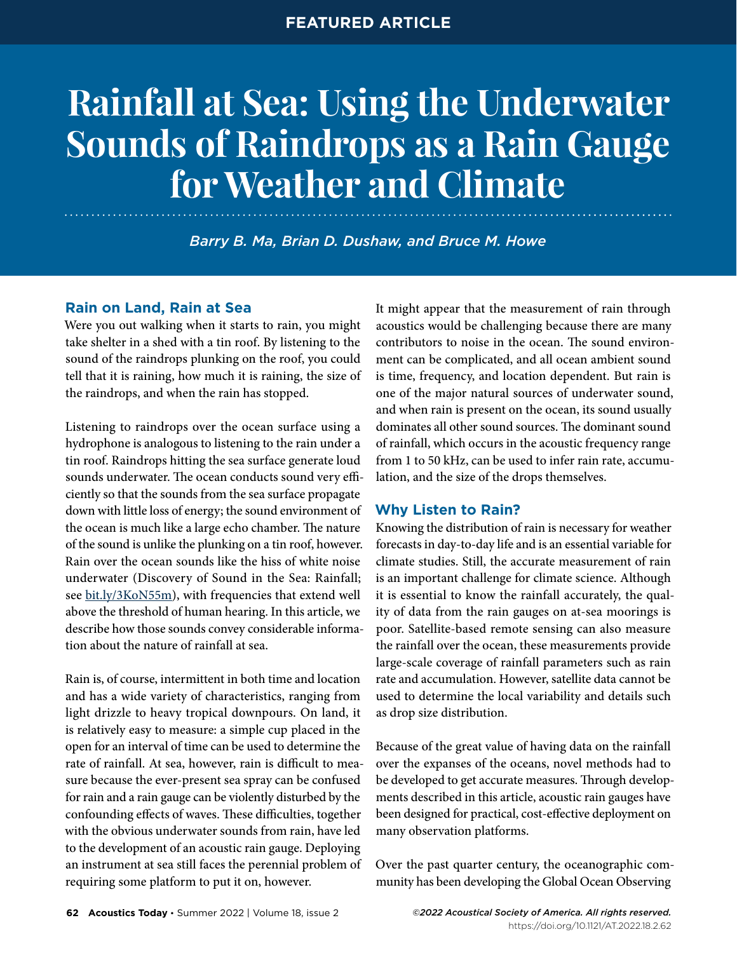# **Rainfall at Sea: Using the Underwater Sounds of Raindrops as a Rain Gauge for Weather and Climate**

*Barry B. Ma, Brian D. Dushaw, and Bruce M. Howe*

# **Rain on Land, Rain at Sea**

Were you out walking when it starts to rain, you might take shelter in a shed with a tin roof. By listening to the sound of the raindrops plunking on the roof, you could tell that it is raining, how much it is raining, the size of the raindrops, and when the rain has stopped.

Listening to raindrops over the ocean surface using a hydrophone is analogous to listening to the rain under a tin roof. Raindrops hitting the sea surface generate loud sounds underwater. The ocean conducts sound very efficiently so that the sounds from the sea surface propagate down with little loss of energy; the sound environment of the ocean is much like a large echo chamber. The nature of the sound is unlike the plunking on a tin roof, however. Rain over the ocean sounds like the hiss of white noise underwater (Discovery of Sound in the Sea: Rainfall; see [bit.ly/3KoN55m\)](https://bit.ly/3KoN55m), with frequencies that extend well above the threshold of human hearing. In this article, we describe how those sounds convey considerable information about the nature of rainfall at sea.

Rain is, of course, intermittent in both time and location and has a wide variety of characteristics, ranging from light drizzle to heavy tropical downpours. On land, it is relatively easy to measure: a simple cup placed in the open for an interval of time can be used to determine the rate of rainfall. At sea, however, rain is difficult to measure because the ever-present sea spray can be confused for rain and a rain gauge can be violently disturbed by the confounding effects of waves. These difficulties, together with the obvious underwater sounds from rain, have led to the development of an acoustic rain gauge. Deploying an instrument at sea still faces the perennial problem of requiring some platform to put it on, however.

It might appear that the measurement of rain through acoustics would be challenging because there are many contributors to noise in the ocean. The sound environment can be complicated, and all ocean ambient sound is time, frequency, and location dependent. But rain is one of the major natural sources of underwater sound, and when rain is present on the ocean, its sound usually dominates all other sound sources. The dominant sound of rainfall, which occurs in the acoustic frequency range from 1 to 50 kHz, can be used to infer rain rate, accumulation, and the size of the drops themselves.

# **Why Listen to Rain?**

Knowing the distribution of rain is necessary for weather forecasts in day-to-day life and is an essential variable for climate studies. Still, the accurate measurement of rain is an important challenge for climate science. Although it is essential to know the rainfall accurately, the quality of data from the rain gauges on at-sea moorings is poor. Satellite-based remote sensing can also measure the rainfall over the ocean, these measurements provide large-scale coverage of rainfall parameters such as rain rate and accumulation. However, satellite data cannot be used to determine the local variability and details such as drop size distribution.

Because of the great value of having data on the rainfall over the expanses of the oceans, novel methods had to be developed to get accurate measures. Through developments described in this article, acoustic rain gauges have been designed for practical, cost-effective deployment on many observation platforms.

Over the past quarter century, the oceanographic community has been developing the Global Ocean Observing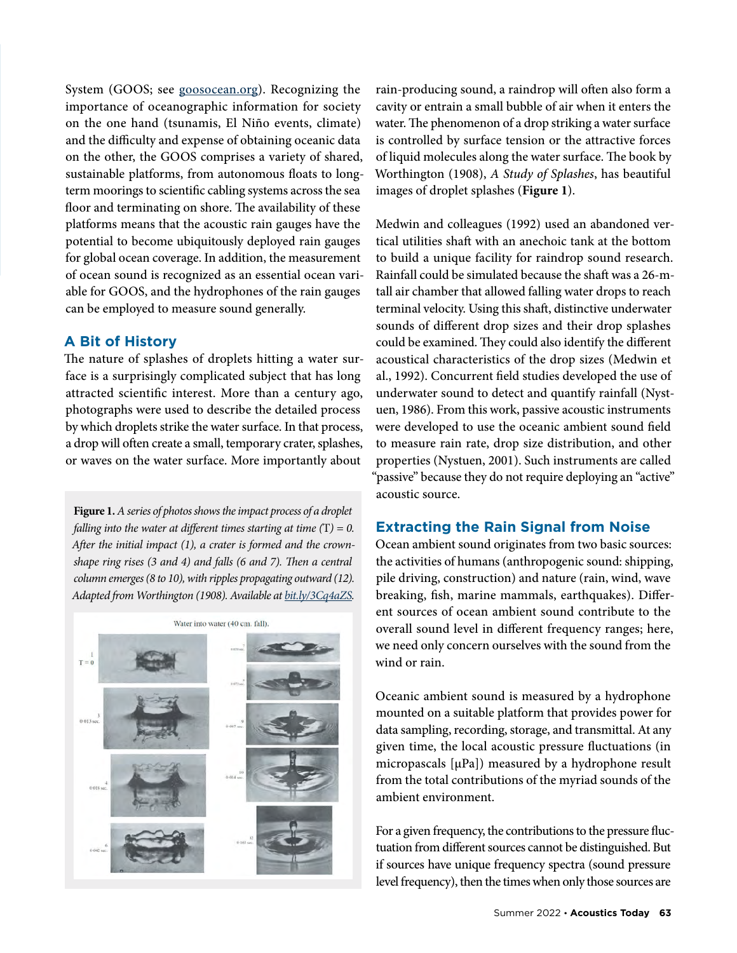System (GOOS; see [goosocean.org](https://www.goosocean.org/)). Recognizing the importance of oceanographic information for society on the one hand (tsunamis, El Niño events, climate) and the difficulty and expense of obtaining oceanic data on the other, the GOOS comprises a variety of shared, sustainable platforms, from autonomous floats to longterm moorings to scientific cabling systems across the sea floor and terminating on shore. The availability of these platforms means that the acoustic rain gauges have the potential to become ubiquitously deployed rain gauges for global ocean coverage. In addition, the measurement of ocean sound is recognized as an essential ocean variable for GOOS, and the hydrophones of the rain gauges can be employed to measure sound generally.

# **A Bit of History**

The nature of splashes of droplets hitting a water surface is a surprisingly complicated subject that has long attracted scientific interest. More than a century ago, photographs were used to describe the detailed process by which droplets strike the water surface. In that process, a drop will often create a small, temporary crater, splashes, or waves on the water surface. More importantly about

**Figure 1.** *A series of photos shows the impact process of a droplet falling into the water at different times starting at time (*T*) = 0. After the initial impact (1), a crater is formed and the crownshape ring rises (3 and 4) and falls (6 and 7). Then a central column emerges (8 to 10), with ripples propagating outward (12). Adapted from Worthington (1908). Available at [bit.ly/3Cq4aZS](http://bit.ly/3Cq4aZS).*



rain-producing sound, a raindrop will often also form a cavity or entrain a small bubble of air when it enters the water. The phenomenon of a drop striking a water surface is controlled by surface tension or the attractive forces of liquid molecules along the water surface. The book by Worthington (1908), *A Study of Splashes*, has beautiful images of droplet splashes (**Figure 1**).

Medwin and colleagues (1992) used an abandoned vertical utilities shaft with an anechoic tank at the bottom to build a unique facility for raindrop sound research. Rainfall could be simulated because the shaft was a 26-mtall air chamber that allowed falling water drops to reach terminal velocity. Using this shaft, distinctive underwater sounds of different drop sizes and their drop splashes could be examined. They could also identify the different acoustical characteristics of the drop sizes (Medwin et al., 1992). Concurrent field studies developed the use of underwater sound to detect and quantify rainfall (Nystuen, 1986). From this work, passive acoustic instruments were developed to use the oceanic ambient sound field to measure rain rate, drop size distribution, and other properties (Nystuen, 2001). Such instruments are called "passive" because they do not require deploying an "active" acoustic source.

# **Extracting the Rain Signal from Noise**

Ocean ambient sound originates from two basic sources: the activities of humans (anthropogenic sound: shipping, pile driving, construction) and nature (rain, wind, wave breaking, fish, marine mammals, earthquakes). Different sources of ocean ambient sound contribute to the overall sound level in different frequency ranges; here, we need only concern ourselves with the sound from the wind or rain.

Oceanic ambient sound is measured by a hydrophone mounted on a suitable platform that provides power for data sampling, recording, storage, and transmittal. At any given time, the local acoustic pressure fluctuations (in micropascals [μPa]) measured by a hydrophone result from the total contributions of the myriad sounds of the ambient environment.

For a given frequency, the contributions to the pressure fluctuation from different sources cannot be distinguished. But if sources have unique frequency spectra (sound pressure level frequency), then the times when only those sources are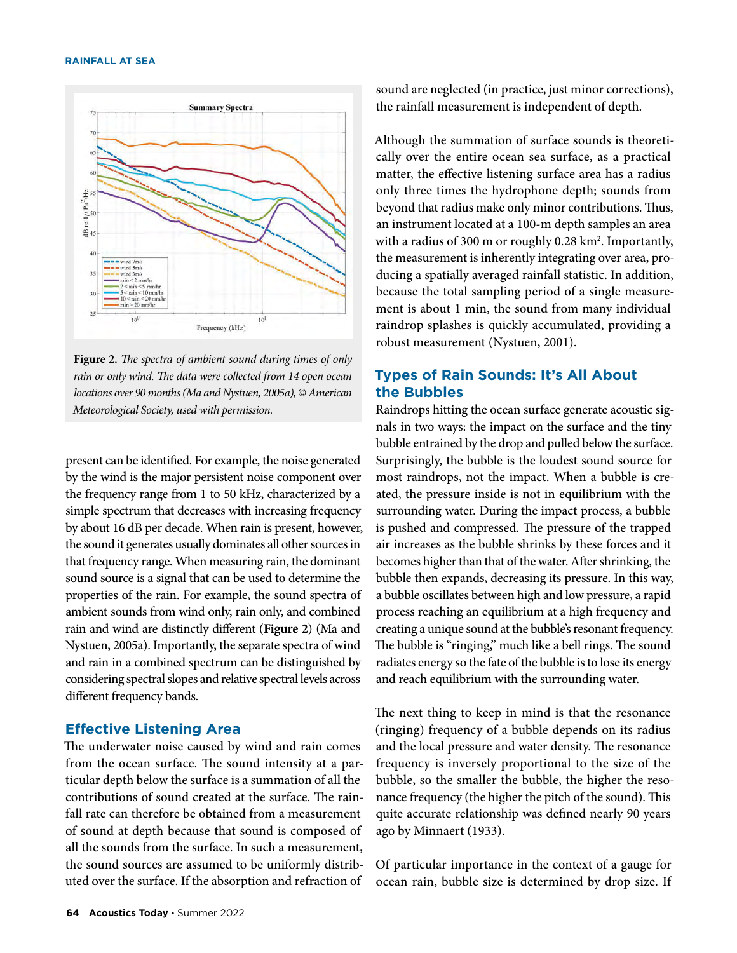

**Figure 2.** *The spectra of ambient sound during times of only rain or only wind. The data were collected from 14 open ocean locations over 90 months (Ma and Nystuen, 2005a),* © *American Meteorological Society, used with permission.*

present can be identified. For example, the noise generated by the wind is the major persistent noise component over the frequency range from 1 to 50 kHz, characterized by a simple spectrum that decreases with increasing frequency by about 16 dB per decade. When rain is present, however, the sound it generates usually dominates all other sources in that frequency range. When measuring rain, the dominant sound source is a signal that can be used to determine the properties of the rain. For example, the sound spectra of ambient sounds from wind only, rain only, and combined rain and wind are distinctly different (**Figure 2**) (Ma and Nystuen, 2005a). Importantly, the separate spectra of wind and rain in a combined spectrum can be distinguished by considering spectral slopes and relative spectral levels across different frequency bands.

### **Effective Listening Area**

The underwater noise caused by wind and rain comes from the ocean surface. The sound intensity at a particular depth below the surface is a summation of all the contributions of sound created at the surface. The rainfall rate can therefore be obtained from a measurement of sound at depth because that sound is composed of all the sounds from the surface. In such a measurement, the sound sources are assumed to be uniformly distributed over the surface. If the absorption and refraction of

sound are neglected (in practice, just minor corrections), the rainfall measurement is independent of depth.

Although the summation of surface sounds is theoretically over the entire ocean sea surface, as a practical matter, the effective listening surface area has a radius only three times the hydrophone depth; sounds from beyond that radius make only minor contributions. Thus, an instrument located at a 100-m depth samples an area with a radius of 300 m or roughly  $0.28 \text{ km}^2$ . Importantly, the measurement is inherently integrating over area, producing a spatially averaged rainfall statistic. In addition, because the total sampling period of a single measurement is about 1 min, the sound from many individual raindrop splashes is quickly accumulated, providing a robust measurement (Nystuen, 2001).

# **Types of Rain Sounds: It's All About the Bubbles**

Raindrops hitting the ocean surface generate acoustic signals in two ways: the impact on the surface and the tiny bubble entrained by the drop and pulled below the surface. Surprisingly, the bubble is the loudest sound source for most raindrops, not the impact. When a bubble is created, the pressure inside is not in equilibrium with the surrounding water. During the impact process, a bubble is pushed and compressed. The pressure of the trapped air increases as the bubble shrinks by these forces and it becomes higher than that of the water. After shrinking, the bubble then expands, decreasing its pressure. In this way, a bubble oscillates between high and low pressure, a rapid process reaching an equilibrium at a high frequency and creating a unique sound at the bubble's resonant frequency. The bubble is "ringing," much like a bell rings. The sound radiates energy so the fate of the bubble is to lose its energy and reach equilibrium with the surrounding water.

The next thing to keep in mind is that the resonance (ringing) frequency of a bubble depends on its radius and the local pressure and water density. The resonance frequency is inversely proportional to the size of the bubble, so the smaller the bubble, the higher the resonance frequency (the higher the pitch of the sound). This quite accurate relationship was defined nearly 90 years ago by Minnaert (1933).

Of particular importance in the context of a gauge for ocean rain, bubble size is determined by drop size. If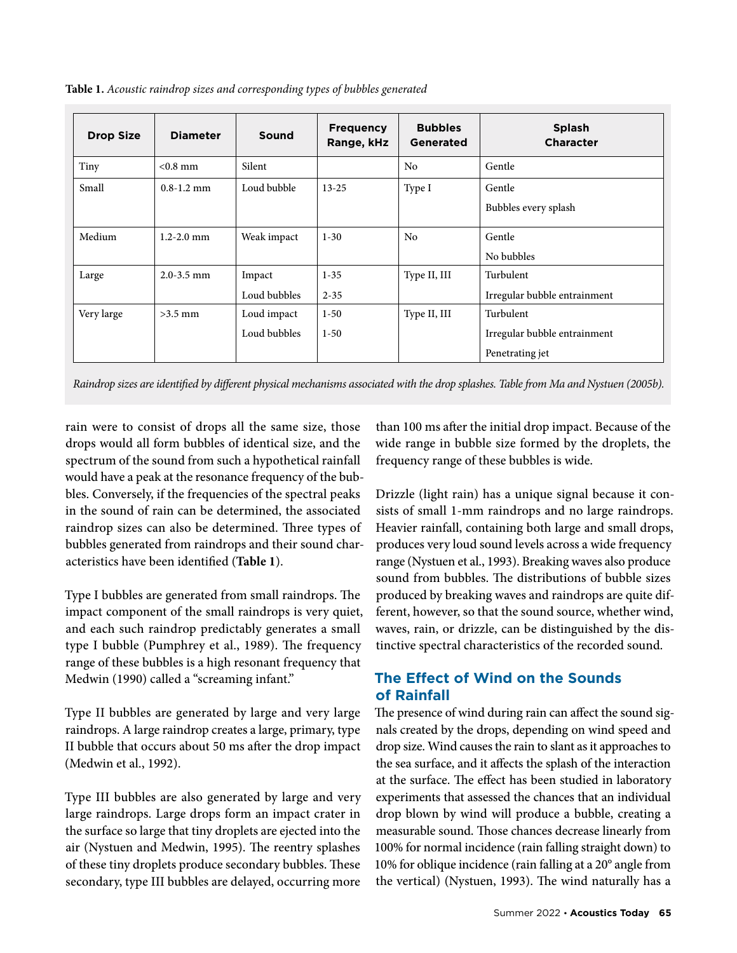|  |  | Table 1. Acoustic raindrop sizes and corresponding types of bubbles generated |  |  |
|--|--|-------------------------------------------------------------------------------|--|--|
|  |  |                                                                               |  |  |

| <b>Drop Size</b> | <b>Diameter</b> | Sound        | <b>Frequency</b><br>Range, kHz | <b>Bubbles</b><br>Generated | <b>Splash</b><br><b>Character</b> |
|------------------|-----------------|--------------|--------------------------------|-----------------------------|-----------------------------------|
| Tiny             | $< 0.8$ mm      | Silent       |                                | No                          | Gentle                            |
| Small            | $0.8 - 1.2$ mm  | Loud bubble  | $13 - 25$                      | Type I                      | Gentle                            |
|                  |                 |              |                                |                             | Bubbles every splash              |
| Medium           | $1.2 - 2.0$ mm  | Weak impact  | $1 - 30$                       | N <sub>0</sub>              | Gentle                            |
|                  |                 |              |                                |                             | No bubbles                        |
| Large            | $2.0 - 3.5$ mm  | Impact       | $1 - 35$                       | Type II, III                | Turbulent                         |
|                  |                 | Loud bubbles | $2 - 35$                       |                             | Irregular bubble entrainment      |
| Very large       | $>3.5$ mm       | Loud impact  | $1 - 50$                       | Type II, III                | Turbulent                         |
|                  |                 | Loud bubbles | $1 - 50$                       |                             | Irregular bubble entrainment      |
|                  |                 |              |                                |                             | Penetrating jet                   |

*Raindrop sizes are identified by different physical mechanisms associated with the drop splashes. Table from Ma and Nystuen (2005b).*

rain were to consist of drops all the same size, those drops would all form bubbles of identical size, and the spectrum of the sound from such a hypothetical rainfall would have a peak at the resonance frequency of the bubbles. Conversely, if the frequencies of the spectral peaks in the sound of rain can be determined, the associated raindrop sizes can also be determined. Three types of bubbles generated from raindrops and their sound characteristics have been identified (**Table 1**).

Type I bubbles are generated from small raindrops. The impact component of the small raindrops is very quiet, and each such raindrop predictably generates a small type I bubble (Pumphrey et al., 1989). The frequency range of these bubbles is a high resonant frequency that Medwin (1990) called a "screaming infant."

Type II bubbles are generated by large and very large raindrops. A large raindrop creates a large, primary, type II bubble that occurs about 50 ms after the drop impact (Medwin et al., 1992).

Type III bubbles are also generated by large and very large raindrops. Large drops form an impact crater in the surface so large that tiny droplets are ejected into the air (Nystuen and Medwin, 1995). The reentry splashes of these tiny droplets produce secondary bubbles. These secondary, type III bubbles are delayed, occurring more than 100 ms after the initial drop impact. Because of the wide range in bubble size formed by the droplets, the frequency range of these bubbles is wide.

Drizzle (light rain) has a unique signal because it consists of small 1-mm raindrops and no large raindrops. Heavier rainfall, containing both large and small drops, produces very loud sound levels across a wide frequency range (Nystuen et al., 1993). Breaking waves also produce sound from bubbles. The distributions of bubble sizes produced by breaking waves and raindrops are quite different, however, so that the sound source, whether wind, waves, rain, or drizzle, can be distinguished by the distinctive spectral characteristics of the recorded sound.

# **The Effect of Wind on the Sounds of Rainfall**

The presence of wind during rain can affect the sound signals created by the drops, depending on wind speed and drop size. Wind causes the rain to slant as it approaches to the sea surface, and it affects the splash of the interaction at the surface. The effect has been studied in laboratory experiments that assessed the chances that an individual drop blown by wind will produce a bubble, creating a measurable sound. Those chances decrease linearly from 100% for normal incidence (rain falling straight down) to 10% for oblique incidence (rain falling at a 20° angle from the vertical) (Nystuen, 1993). The wind naturally has a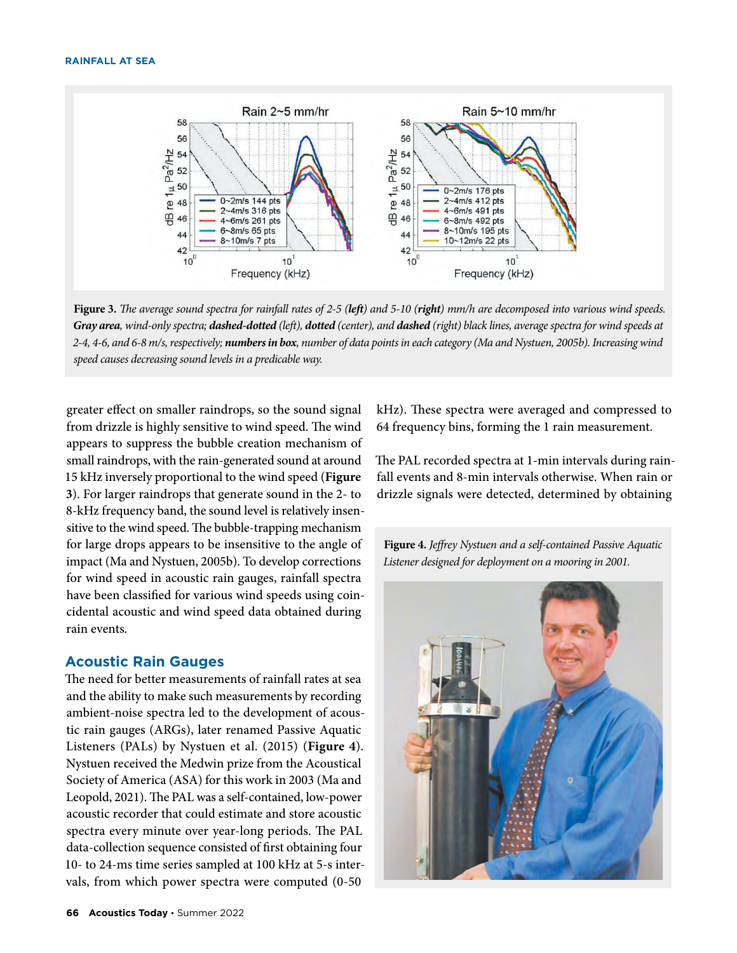

**Figure 3.** *The average sound spectra for rainfall rates of 2-5 (left) and 5-10 (right) mm/h are decomposed into various wind speeds. Gray area, wind-only spectra; dashed-dotted (left), dotted (center), and dashed (right) black lines, average spectra for wind speeds at 2-4, 4-6, and 6-8 m/s, respectively; numbers in box, number of data points in each category (Ma and Nystuen, 2005b). Increasing wind speed causes decreasing sound levels in a predicable way.*

greater effect on smaller raindrops, so the sound signal from drizzle is highly sensitive to wind speed. The wind appears to suppress the bubble creation mechanism of small raindrops, with the rain-generated sound at around 15 kHz inversely proportional to the wind speed (**Figure 3**). For larger raindrops that generate sound in the 2- to 8-kHz frequency band, the sound level is relatively insensitive to the wind speed. The bubble-trapping mechanism for large drops appears to be insensitive to the angle of impact (Ma and Nystuen, 2005b). To develop corrections for wind speed in acoustic rain gauges, rainfall spectra have been classified for various wind speeds using coincidental acoustic and wind speed data obtained during rain events.

## **Acoustic Rain Gauges**

The need for better measurements of rainfall rates at sea and the ability to make such measurements by recording ambient-noise spectra led to the development of acoustic rain gauges (ARGs), later renamed Passive Aquatic Listeners (PALs) by Nystuen et al. (2015) (**Figure 4**). Nystuen received the Medwin prize from the Acoustical Society of America (ASA) for this work in 2003 (Ma and Leopold, 2021). The PAL was a self-contained, low-power acoustic recorder that could estimate and store acoustic spectra every minute over year-long periods. The PAL data-collection sequence consisted of first obtaining four 10- to 24-ms time series sampled at 100 kHz at 5-s intervals, from which power spectra were computed (0-50

kHz). These spectra were averaged and compressed to 64 frequency bins, forming the 1 rain measurement.

The PAL recorded spectra at 1-min intervals during rainfall events and 8-min intervals otherwise. When rain or drizzle signals were detected, determined by obtaining

**Figure 4.** *Jeffrey Nystuen and a self-contained Passive Aquatic Listener designed for deployment on a mooring in 2001.*

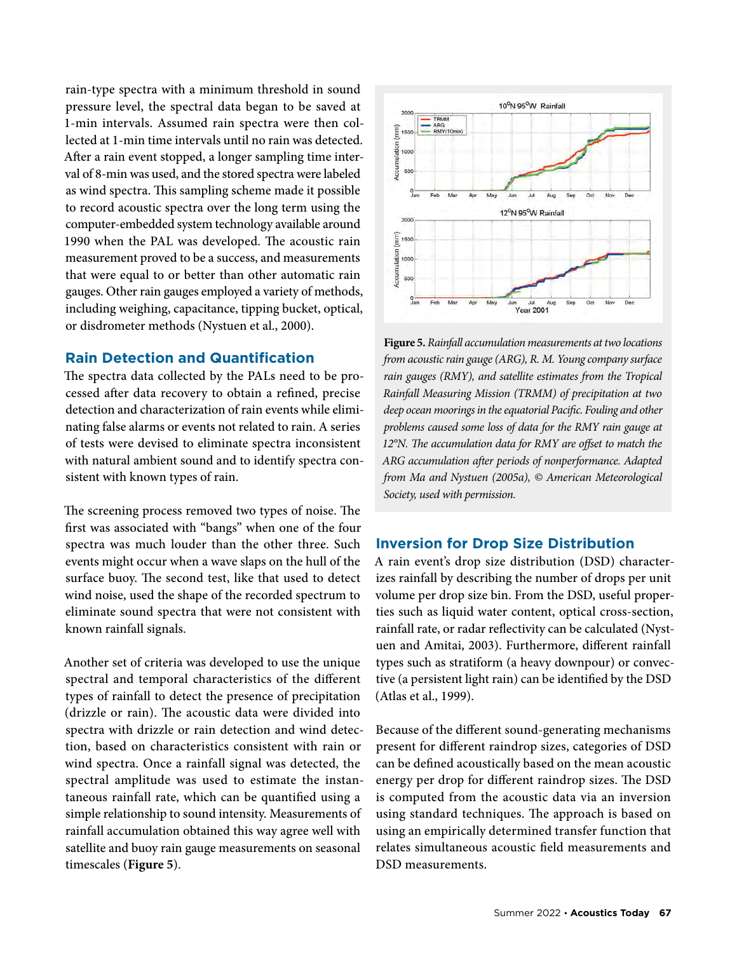rain-type spectra with a minimum threshold in sound pressure level, the spectral data began to be saved at 1-min intervals. Assumed rain spectra were then collected at 1-min time intervals until no rain was detected. After a rain event stopped, a longer sampling time interval of 8-min was used, and the stored spectra were labeled as wind spectra. This sampling scheme made it possible to record acoustic spectra over the long term using the computer-embedded system technology available around 1990 when the PAL was developed. The acoustic rain measurement proved to be a success, and measurements that were equal to or better than other automatic rain gauges. Other rain gauges employed a variety of methods, including weighing, capacitance, tipping bucket, optical, or disdrometer methods (Nystuen et al., 2000).

## **Rain Detection and Quantification**

The spectra data collected by the PALs need to be processed after data recovery to obtain a refined, precise detection and characterization of rain events while eliminating false alarms or events not related to rain. A series of tests were devised to eliminate spectra inconsistent with natural ambient sound and to identify spectra consistent with known types of rain.

The screening process removed two types of noise. The first was associated with "bangs" when one of the four spectra was much louder than the other three. Such events might occur when a wave slaps on the hull of the surface buoy. The second test, like that used to detect wind noise, used the shape of the recorded spectrum to eliminate sound spectra that were not consistent with known rainfall signals.

Another set of criteria was developed to use the unique spectral and temporal characteristics of the different types of rainfall to detect the presence of precipitation (drizzle or rain). The acoustic data were divided into spectra with drizzle or rain detection and wind detection, based on characteristics consistent with rain or wind spectra. Once a rainfall signal was detected, the spectral amplitude was used to estimate the instantaneous rainfall rate, which can be quantified using a simple relationship to sound intensity. Measurements of rainfall accumulation obtained this way agree well with satellite and buoy rain gauge measurements on seasonal timescales (**Figure 5**).



**Figure 5.** *Rainfall accumulation measurements at two locations from acoustic rain gauge (ARG), R. M. Young company surface rain gauges (RMY), and satellite estimates from the Tropical Rainfall Measuring Mission (TRMM) of precipitation at two deep ocean moorings in the equatorial Pacific. Fouling and other problems caused some loss of data for the RMY rain gauge at 12°N. The accumulation data for RMY are offset to match the ARG accumulation after periods of nonperformance. Adapted from Ma and Nystuen (2005a), © American Meteorological Society, used with permission.*

#### **Inversion for Drop Size Distribution**

A rain event's drop size distribution (DSD) characterizes rainfall by describing the number of drops per unit volume per drop size bin. From the DSD, useful properties such as liquid water content, optical cross-section, rainfall rate, or radar reflectivity can be calculated (Nystuen and Amitai, 2003). Furthermore, different rainfall types such as stratiform (a heavy downpour) or convective (a persistent light rain) can be identified by the DSD (Atlas et al., 1999).

Because of the different sound-generating mechanisms present for different raindrop sizes, categories of DSD can be defined acoustically based on the mean acoustic energy per drop for different raindrop sizes. The DSD is computed from the acoustic data via an inversion using standard techniques. The approach is based on using an empirically determined transfer function that relates simultaneous acoustic field measurements and DSD measurements.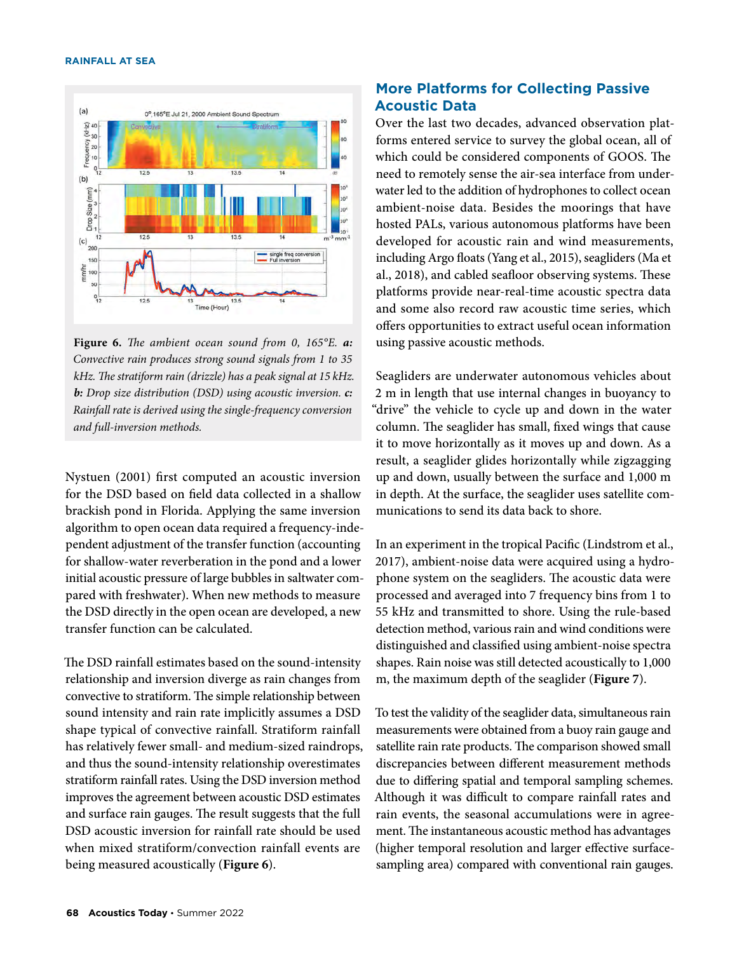#### **RAINFALL AT SEA**



**Figure 6.** *The ambient ocean sound from 0, 165°E. a: Convective rain produces strong sound signals from 1 to 35 kHz. The stratiform rain (drizzle) has a peak signal at 15 kHz. b: Drop size distribution (DSD) using acoustic inversion. c: Rainfall rate is derived using the single-frequency conversion and full-inversion methods.*

Nystuen (2001) first computed an acoustic inversion for the DSD based on field data collected in a shallow brackish pond in Florida. Applying the same inversion algorithm to open ocean data required a frequency-independent adjustment of the transfer function (accounting for shallow-water reverberation in the pond and a lower initial acoustic pressure of large bubbles in saltwater compared with freshwater). When new methods to measure the DSD directly in the open ocean are developed, a new transfer function can be calculated.

The DSD rainfall estimates based on the sound-intensity relationship and inversion diverge as rain changes from convective to stratiform. The simple relationship between sound intensity and rain rate implicitly assumes a DSD shape typical of convective rainfall. Stratiform rainfall has relatively fewer small- and medium-sized raindrops, and thus the sound-intensity relationship overestimates stratiform rainfall rates. Using the DSD inversion method improves the agreement between acoustic DSD estimates and surface rain gauges. The result suggests that the full DSD acoustic inversion for rainfall rate should be used when mixed stratiform/convection rainfall events are being measured acoustically (**Figure 6**).

# **More Platforms for Collecting Passive Acoustic Data**

Over the last two decades, advanced observation platforms entered service to survey the global ocean, all of which could be considered components of GOOS. The need to remotely sense the air-sea interface from underwater led to the addition of hydrophones to collect ocean ambient-noise data. Besides the moorings that have hosted PALs, various autonomous platforms have been developed for acoustic rain and wind measurements, including Argo floats (Yang et al., 2015), seagliders (Ma et al., 2018), and cabled seafloor observing systems. These platforms provide near-real-time acoustic spectra data and some also record raw acoustic time series, which offers opportunities to extract useful ocean information using passive acoustic methods.

Seagliders are underwater autonomous vehicles about 2 m in length that use internal changes in buoyancy to "drive" the vehicle to cycle up and down in the water column. The seaglider has small, fixed wings that cause it to move horizontally as it moves up and down. As a result, a seaglider glides horizontally while zigzagging up and down, usually between the surface and 1,000 m in depth. At the surface, the seaglider uses satellite communications to send its data back to shore.

In an experiment in the tropical Pacific (Lindstrom et al., 2017), ambient-noise data were acquired using a hydrophone system on the seagliders. The acoustic data were processed and averaged into 7 frequency bins from 1 to 55 kHz and transmitted to shore. Using the rule-based detection method, various rain and wind conditions were distinguished and classified using ambient-noise spectra shapes. Rain noise was still detected acoustically to 1,000 m, the maximum depth of the seaglider (**Figure 7**).

To test the validity of the seaglider data, simultaneous rain measurements were obtained from a buoy rain gauge and satellite rain rate products. The comparison showed small discrepancies between different measurement methods due to differing spatial and temporal sampling schemes. Although it was difficult to compare rainfall rates and rain events, the seasonal accumulations were in agreement. The instantaneous acoustic method has advantages (higher temporal resolution and larger effective surfacesampling area) compared with conventional rain gauges.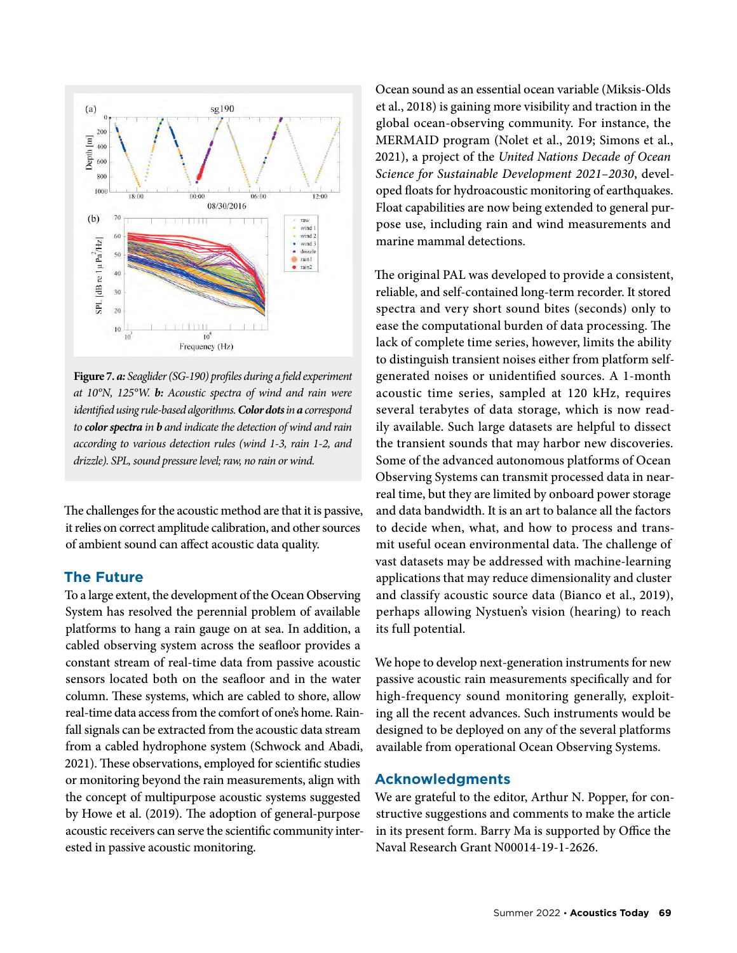

**Figure 7.** *a: Seaglider (SG-190) profiles during a field experiment at 10°N, 125°W. b: Acoustic spectra of wind and rain were identified using rule-based algorithms. Color dots in a correspond to color spectra in b and indicate the detection of wind and rain according to various detection rules (wind 1-3, rain 1-2, and drizzle). SPL, sound pressure level; raw, no rain or wind.*

The challenges for the acoustic method are that it is passive, it relies on correct amplitude calibration, and other sources of ambient sound can affect acoustic data quality.

### **The Future**

To a large extent, the development of the Ocean Observing System has resolved the perennial problem of available platforms to hang a rain gauge on at sea. In addition, a cabled observing system across the seafloor provides a constant stream of real-time data from passive acoustic sensors located both on the seafloor and in the water column. These systems, which are cabled to shore, allow real-time data access from the comfort of one's home. Rainfall signals can be extracted from the acoustic data stream from a cabled hydrophone system (Schwock and Abadi, 2021). These observations, employed for scientific studies or monitoring beyond the rain measurements, align with the concept of multipurpose acoustic systems suggested by Howe et al. (2019). The adoption of general-purpose acoustic receivers can serve the scientific community interested in passive acoustic monitoring.

Ocean sound as an essential ocean variable (Miksis-Olds et al., 2018) is gaining more visibility and traction in the global ocean-observing community. For instance, the MERMAID program (Nolet et al., 2019; Simons et al., 2021), a project of the *United Nations Decade of Ocean Science for Sustainable Development 2021–2030*, developed floats for hydroacoustic monitoring of earthquakes. Float capabilities are now being extended to general purpose use, including rain and wind measurements and marine mammal detections.

The original PAL was developed to provide a consistent, reliable, and self-contained long-term recorder. It stored spectra and very short sound bites (seconds) only to ease the computational burden of data processing. The lack of complete time series, however, limits the ability to distinguish transient noises either from platform selfgenerated noises or unidentified sources. A 1-month acoustic time series, sampled at 120 kHz, requires several terabytes of data storage, which is now readily available. Such large datasets are helpful to dissect the transient sounds that may harbor new discoveries. Some of the advanced autonomous platforms of Ocean Observing Systems can transmit processed data in nearreal time, but they are limited by onboard power storage and data bandwidth. It is an art to balance all the factors to decide when, what, and how to process and transmit useful ocean environmental data. The challenge of vast datasets may be addressed with machine-learning applications that may reduce dimensionality and cluster and classify acoustic source data (Bianco et al., 2019), perhaps allowing Nystuen's vision (hearing) to reach its full potential.

We hope to develop next-generation instruments for new passive acoustic rain measurements specifically and for high-frequency sound monitoring generally, exploiting all the recent advances. Such instruments would be designed to be deployed on any of the several platforms available from operational Ocean Observing Systems.

#### **Acknowledgments**

We are grateful to the editor, Arthur N. Popper, for constructive suggestions and comments to make the article in its present form. Barry Ma is supported by Office the Naval Research Grant N00014-19-1-2626.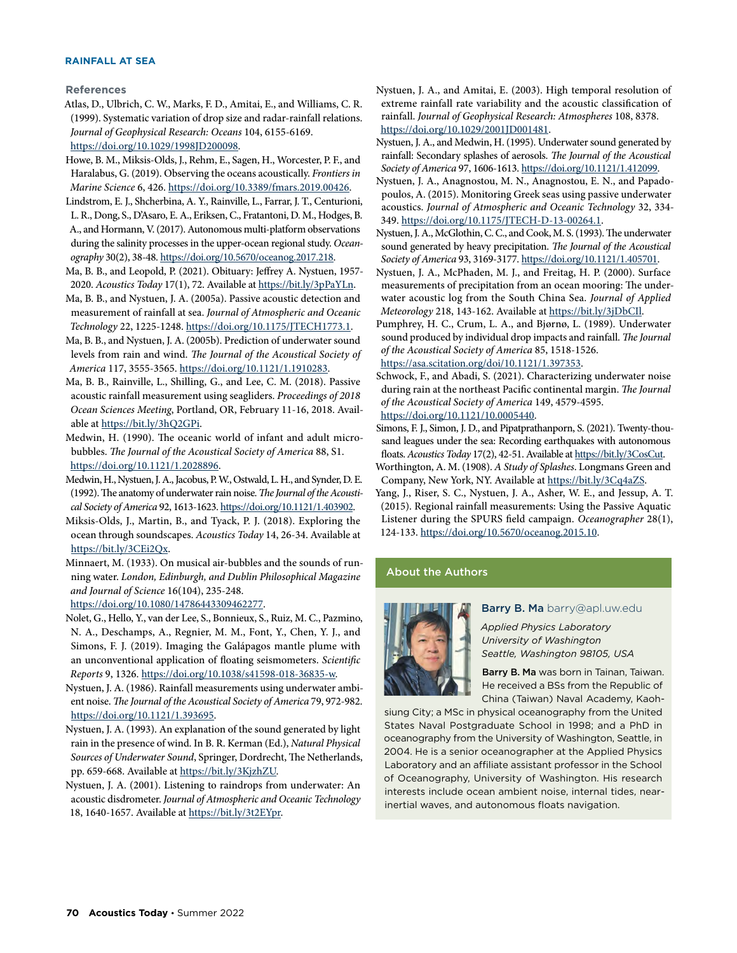#### **RAINFALL AT SEA**

**References**

Atlas, D., Ulbrich, C. W., Marks, F. D., Amitai, E., and Williams, C. R. (1999). Systematic variation of drop size and radar-rainfall relations. *Journal of Geophysical Research: Oceans* 104, 6155-6169.

[https://doi.org/10.1029/1998JD200098.](https://doi.org/10.1029/1998JD200098)

- Howe, B. M., Miksis-Olds, J., Rehm, E., Sagen, H., Worcester, P. F., and Haralabus, G. (2019). Observing the oceans acoustically. *Frontiers in Marine Science* 6, 426. <https://doi.org/10.3389/fmars.2019.00426>.
- Lindstrom, E. J., Shcherbina, A. Y., Rainville, L., Farrar, J. T., Centurioni, L. R., Dong, S., D'Asaro, E. A., Eriksen, C., Fratantoni, D. M., Hodges, B. A., and Hormann, V. (2017). Autonomous multi-platform observations during the salinity processes in the upper-ocean regional study. *Oceanography* 30(2), 38-48.<https://doi.org/10.5670/oceanog.2017.218>.
- Ma, B. B., and Leopold, P. (2021). Obituary: Jeffrey A. Nystuen, 1957- 2020. *Acoustics Today* 17(1), 72. Available at [https://bit.ly/3pPaYLn.](https://bit.ly/3pPaYLn)
- Ma, B. B., and Nystuen, J. A. (2005a). Passive acoustic detection and measurement of rainfall at sea. *Journal of Atmospheric and Oceanic Technology* 22, 1225-1248. <https://doi.org/10.1175/JTECH1773.1>.
- Ma, B. B., and Nystuen, J. A. (2005b). Prediction of underwater sound levels from rain and wind. *The Journal of the Acoustical Society of America* 117, 3555-3565.<https://doi.org/10.1121/1.1910283>.
- Ma, B. B., Rainville, L., Shilling, G., and Lee, C. M. (2018). Passive acoustic rainfall measurement using seagliders. *Proceedings of 2018 Ocean Sciences Meeting*, Portland, OR, February 11-16, 2018. Available at [https://bit.ly/3hQ2GPi.](https://agu.confex.com/agu/os18/preliminaryview.cgi/Paper324608.html)
- Medwin, H. (1990). The oceanic world of infant and adult microbubbles. *The Journal of the Acoustical Society of America* 88, S1. [https://doi.org/10.1121/1.2028896.](https://doi.org/10.1121/1.2028896)
- Medwin, H., Nystuen, J. A., Jacobus, P. W., Ostwald, L. H., and Synder, D. E. (1992). The anatomy of underwater rain noise. *The Journal of the Acoustical Society of America* 92, 1613-1623.<https://doi.org/10.1121/1.403902>.
- Miksis-Olds, J., Martin, B., and Tyack, P. J. (2018). Exploring the ocean through soundscapes. *Acoustics Today* 14, 26-34. Available at [https://bit.ly/3CEi2Qx.](https://bit.ly/3CEi2Qx)
- Minnaert, M. (1933). On musical air-bubbles and the sounds of running water. *London, Edinburgh, and Dublin Philosophical Magazine and Journal of Science* 16(104), 235-248.

[https://doi.org/10.1080/14786443309462277.](https://doi.org/10.1080/14786443309462277)

- Nolet, G., Hello, Y., van der Lee, S., Bonnieux, S., Ruiz, M. C., Pazmino, N. A., Deschamps, A., Regnier, M. M., Font, Y., Chen, Y. J., and Simons, F. J. (2019). Imaging the Galápagos mantle plume with an unconventional application of floating seismometers. *Scientific Reports* 9, 1326. [https://doi.org/10.1038/s41598-018-36835-w.](https://doi.org/10.1038/s41598-018-36835-w)
- Nystuen, J. A. (1986). Rainfall measurements using underwater ambient noise. *The Journal of the Acoustical Society of America* 79, 972-982. [https://doi.org/10.1121/1.393695.](https://doi.org/10.1121/1.393695)
- Nystuen, J. A. (1993). An explanation of the sound generated by light rain in the presence of wind. In B. R. Kerman (Ed.), *Natural Physical Sources of Underwater Sound*, Springer, Dordrecht, The Netherlands, pp. 659-668. Available at <https://bit.ly/3KjzhZU>.
- Nystuen, J. A. (2001). Listening to raindrops from underwater: An acoustic disdrometer. *Journal of Atmospheric and Oceanic Technology* 18, 1640-1657. Available at <https://bit.ly/3t2EYpr>.

Nystuen, J. A., and Amitai, E. (2003). High temporal resolution of extreme rainfall rate variability and the acoustic classification of rainfall. *Journal of Geophysical Research: Atmospheres* 108, 8378. [https://doi.org/10.1029/2001JD001481.](https://doi.org/10.1029/2001JD001481)

Nystuen, J. A., and Medwin, H. (1995). Underwater sound generated by rainfall: Secondary splashes of aerosols. *The Journal of the Acoustical Society of America* 97, 1606-1613.<https://doi.org/10.1121/1.412099>.

- Nystuen, J. A., Anagnostou, M. N., Anagnostou, E. N., and Papadopoulos, A. (2015). Monitoring Greek seas using passive underwater acoustics. *Journal of Atmospheric and Oceanic Technology* 32, 334- 349. [https://doi.org/10.1175/JTECH-D-13-00264.1.](https://doi.org/10.1175/JTECH-D-13-00264.1)
- Nystuen, J. A., McGlothin, C. C., and Cook, M. S. (1993). The underwater sound generated by heavy precipitation. *The Journal of the Acoustical Society of America* 93, 3169-3177.<https://doi.org/10.1121/1.405701>.
- Nystuen, J. A., McPhaden, M. J., and Freitag, H. P. (2000). Surface measurements of precipitation from an ocean mooring: The underwater acoustic log from the South China Sea. *Journal of Applied Meteorology* 218, 143-162. Available at [https://bit.ly/3jDbCIl](https://journals.ametsoc.org/view/journals/apme/39/12/1520-0450_2001_040_2182_smopfa_2.0.co_2.xml).
- Pumphrey, H. C., Crum, L. A., and Bjørnø, L. (1989). Underwater sound produced by individual drop impacts and rainfall. *The Journal of the Acoustical Society of America* 85, 1518-1526. [https://asa.scitation.org/doi/10.1121/1.397353.](https://asa.scitation.org/doi/10.1121/1.397353)

Schwock, F., and Abadi, S. (2021). Characterizing underwater noise during rain at the northeast Pacific continental margin. *The Journal of the Acoustical Society of America* 149, 4579-4595. [https://doi.org/10.1121/10.0005440.](https://doi.org/10.1121/10.0005440)

Simons, F. J., Simon, J. D., and Pipatprathanporn, S. (2021). Twenty-thousand leagues under the sea: Recording earthquakes with autonomous floats. *Acoustics Today* 17(2), 42-51. Available at [https://bit.ly/3CosCut.](https://bit.ly/3CosCut)

- Worthington, A. M. (1908). *A Study of Splashes*. Longmans Green and Company, New York, NY. Available at [https://bit.ly/3Cq4aZS.](https://bit.ly/3Cq4aZS)
- Yang, J., Riser, S. C., Nystuen, J. A., Asher, W. E., and Jessup, A. T. (2015). Regional rainfall measurements: Using the Passive Aquatic Listener during the SPURS field campaign. *Oceanographer* 28(1), 124-133. [https://doi.org/10.5670/oceanog.2015.10](https://tos.org/oceanography/article/regional-rainfall-measurements-using-the-passive-aquatic-listener-during-th).

#### About the Authors



#### Barry B. Ma barry@apl.uw.edu

*Applied Physics Laboratory University of Washington Seattle, Washington 98105, USA*

Barry B. Ma was born in Tainan, Taiwan. He received a BSs from the Republic of China (Taiwan) Naval Academy, Kaoh-

siung City; a MSc in physical oceanography from the United States Naval Postgraduate School in 1998; and a PhD in oceanography from the University of Washington, Seattle, in 2004. He is a senior oceanographer at the Applied Physics Laboratory and an affiliate assistant professor in the School of Oceanography, University of Washington. His research interests include ocean ambient noise, internal tides, nearinertial waves, and autonomous floats navigation.